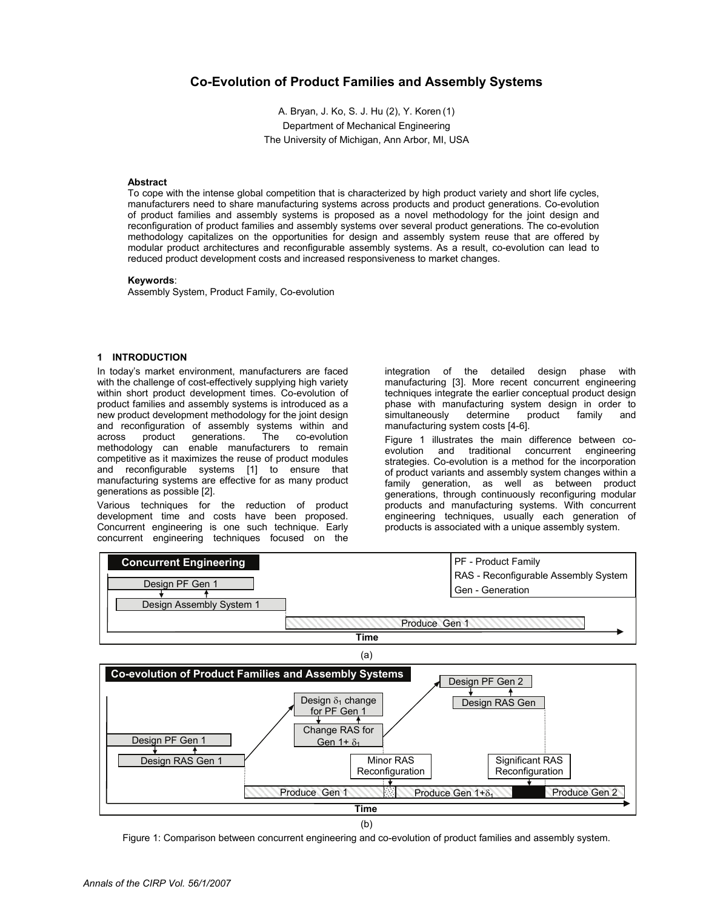# **Co-Evolution of Product Families and Assembly Systems**

A. Bryan, J. Ko, S. J. Hu (2), Y. Koren (1) Department of Mechanical Engineering The University of Michigan, Ann Arbor, MI, USA

### **Abstract**

To cope with the intense global competition that is characterized by high product variety and short life cycles, manufacturers need to share manufacturing systems across products and product generations. Co-evolution of product families and assembly systems is proposed as a novel methodology for the joint design and reconfiguration of product families and assembly systems over several product generations. The co-evolution methodology capitalizes on the opportunities for design and assembly system reuse that are offered by modular product architectures and reconfigurable assembly systems. As a result, co-evolution can lead to reduced product development costs and increased responsiveness to market changes.

#### **Keywords**:

Assembly System, Product Family, Co-evolution

#### **1 INTRODUCTION**

In today's market environment, manufacturers are faced with the challenge of cost-effectively supplying high variety within short product development times. Co-evolution of product families and assembly systems is introduced as a new product development methodology for the joint design and reconfiguration of assembly systems within and across product generations. The co-evolution methodology can enable manufacturers to remain competitive as it maximizes the reuse of product modules and reconfigurable systems [1] to ensure that manufacturing systems are effective for as many product generations as possible [2].

Various techniques for the reduction of product development time and costs have been proposed. Concurrent engineering is one such technique. Early concurrent engineering techniques focused on the

integration of the detailed design phase with manufacturing [3]. More recent concurrent engineering techniques integrate the earlier conceptual product design phase with manufacturing system design in order to simultaneously determine product family and manufacturing system costs [4-6].

Figure 1 illustrates the main difference between coevolution and traditional concurrent engineering strategies. Co-evolution is a method for the incorporation of product variants and assembly system changes within a family generation, as well as between product generations, through continuously reconfiguring modular products and manufacturing systems. With concurrent engineering techniques, usually each generation of products is associated with a unique assembly system.





Figure 1: Comparison between concurrent engineering and co-evolution of product families and assembly system.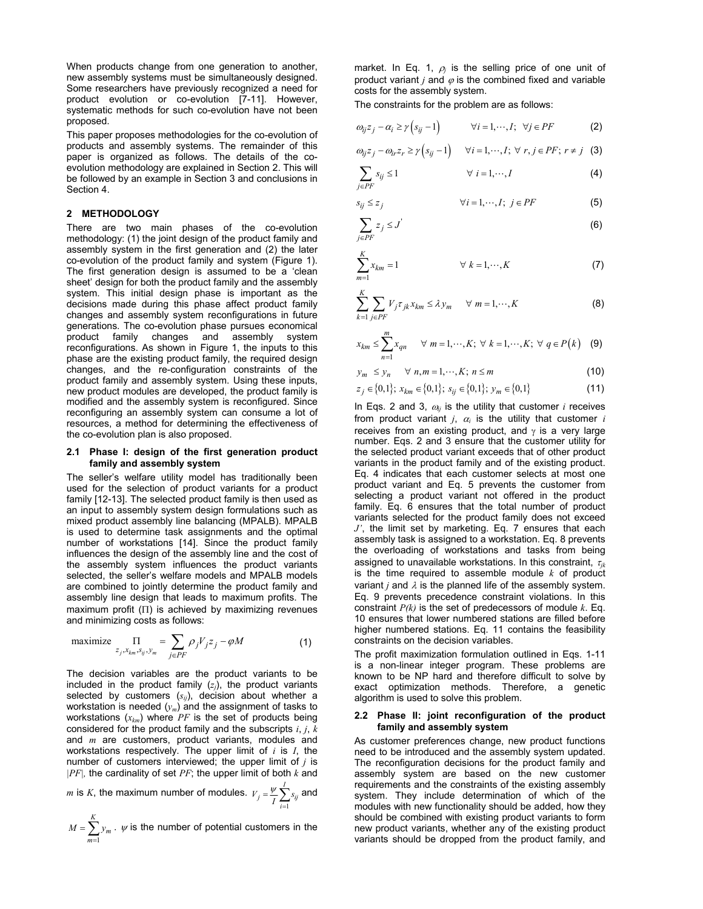When products change from one generation to another, new assembly systems must be simultaneously designed. Some researchers have previously recognized a need for product evolution or co-evolution [7-11]. However, systematic methods for such co-evolution have not been proposed.

This paper proposes methodologies for the co-evolution of products and assembly systems. The remainder of this paper is organized as follows. The details of the coevolution methodology are explained in Section 2. This will be followed by an example in Section 3 and conclusions in Section 4.

### **2 METHODOLOGY**

There are two main phases of the co-evolution methodology: (1) the joint design of the product family and assembly system in the first generation and (2) the later co-evolution of the product family and system (Figure 1). The first generation design is assumed to be a 'clean sheet' design for both the product family and the assembly system. This initial design phase is important as the decisions made during this phase affect product family changes and assembly system reconfigurations in future generations. The co-evolution phase pursues economical product family changes and assembly system reconfigurations. As shown in Figure 1, the inputs to this phase are the existing product family, the required design changes, and the re-configuration constraints of the product family and assembly system. Using these inputs, new product modules are developed, the product family is modified and the assembly system is reconfigured. Since reconfiguring an assembly system can consume a lot of resources, a method for determining the effectiveness of the co-evolution plan is also proposed.

### **2.1 Phase I: design of the first generation product family and assembly system**

The seller's welfare utility model has traditionally been used for the selection of product variants for a product family [12-13]. The selected product family is then used as an input to assembly system design formulations such as mixed product assembly line balancing (MPALB). MPALB is used to determine task assignments and the optimal number of workstations [14]. Since the product family influences the design of the assembly line and the cost of the assembly system influences the product variants selected, the seller's welfare models and MPALB models are combined to jointly determine the product family and assembly line design that leads to maximum profits. The maximum profit  $(II)$  is achieved by maximizing revenues and minimizing costs as follows:

$$
\text{maximize } \prod_{z_j, x_{km}, s_{ij}, y_m} = \sum_{j \in PF} \rho_j V_j z_j - \varphi M \tag{1}
$$

The decision variables are the product variants to be included in the product family  $(z<sub>i</sub>)$ , the product variants selected by customers  $(s_{ii})$ , decision about whether a workstation is needed  $(y_m)$  and the assignment of tasks to workstations (*xkm*) where *PF* is the set of products being considered for the product family and the subscripts *i*, *j*, *k* and *m* are customers, product variants, modules and workstations respectively. The upper limit of *i* is *I*, the number of customers interviewed; the upper limit of *j* is *|PF|,* the cardinality of set *PF*; the upper limit of both *k* and

*m* is *K*, the maximum number of modules. 1 *I*  $j = \frac{1}{I} \sum_{i=1}^{I} s_{ij}$  $V_j = \frac{\varphi}{I} \sum_i s$ ψ  $=\frac{\psi}{I}\sum_{i=1}^{I} s_{ij}$  and

1 *K m m*  $M = \sum y$  $=\sum_{m=1} y_m \cdot \psi$  is the number of potential customers in the market. In Eq. 1,  $\rho_j$  is the selling price of one unit of product variant  $j$  and  $\varphi$  is the combined fixed and variable costs for the assembly system.

The constraints for the problem are as follows:

$$
\omega_{ij} z_j - \alpha_i \ge \gamma \left( s_{ij} - 1 \right) \qquad \forall i = 1, \cdots, I; \ \forall j \in PF \tag{2}
$$

$$
\omega_{ij}z_j - \omega_{ir}z_r \ge \gamma\Big(s_{ij}-1\Big) \qquad \forall i=1,\cdots,I; \ \forall \ r,j \in PF; \ r \ne j \tag{3}
$$

$$
\sum_{j \in PF} s_{ij} \le 1 \qquad \forall \ i = 1, \cdots, I \tag{4}
$$

$$
s_{ij} \le z_j \qquad \qquad \forall i = 1, \cdots, I; \ j \in PF \tag{5}
$$

$$
\sum_{j \in PF} z_j \le J' \tag{6}
$$

$$
\sum_{m=1}^{K} x_{km} = 1 \qquad \forall k = 1, \cdots, K \qquad (7)
$$

$$
\sum_{k=1}^{K} \sum_{j \in PF} V_j \tau_{jk} x_{km} \le \lambda y_m \quad \forall \ m = 1, \cdots, K
$$
 (8)

$$
x_{km} \leq \sum_{n=1}^{m} x_{qn} \qquad \forall \ m = 1, \cdots, K; \ \forall \ k = 1, \cdots, K; \ \forall \ q \in P(k)
$$
 (9)

$$
y_m \le y_n \quad \forall \ n, m = 1, \cdots, K; \ n \le m \tag{10}
$$

$$
z_j \in \{0,1\}; \ x_{km} \in \{0,1\}; \ s_{ij} \in \{0,1\}; \ y_m \in \{0,1\}
$$
 (11)

In Eqs. 2 and 3,  $\omega_i$  is the utility that customer *i* receives from product variant  $j$ ,  $\alpha$  is the utility that customer  $i$ receives from an existing product, and  $\gamma$  is a very large number. Eqs. 2 and 3 ensure that the customer utility for the selected product variant exceeds that of other product variants in the product family and of the existing product. Eq. 4 indicates that each customer selects at most one product variant and Eq. 5 prevents the customer from selecting a product variant not offered in the product family. Eq. 6 ensures that the total number of product variants selected for the product family does not exceed *J'*, the limit set by marketing. Eq. 7 ensures that each assembly task is assigned to a workstation. Eq. 8 prevents the overloading of workstations and tasks from being assigned to unavailable workstations. In this constraint, <sup>τ</sup>*jk* is the time required to assemble module *k* of product variant  $j$  and  $\lambda$  is the planned life of the assembly system. Eq. 9 prevents precedence constraint violations. In this constraint *P(k)* is the set of predecessors of module *k*. Eq. 10 ensures that lower numbered stations are filled before higher numbered stations. Eq. 11 contains the feasibility constraints on the decision variables.

The profit maximization formulation outlined in Eqs. 1-11 is a non-linear integer program. These problems are known to be NP hard and therefore difficult to solve by exact optimization methods. Therefore, a genetic algorithm is used to solve this problem.

### **2.2 Phase II: joint reconfiguration of the product family and assembly system**

As customer preferences change, new product functions need to be introduced and the assembly system updated. The reconfiguration decisions for the product family and assembly system are based on the new customer requirements and the constraints of the existing assembly system. They include determination of which of the modules with new functionality should be added, how they should be combined with existing product variants to form new product variants, whether any of the existing product variants should be dropped from the product family, and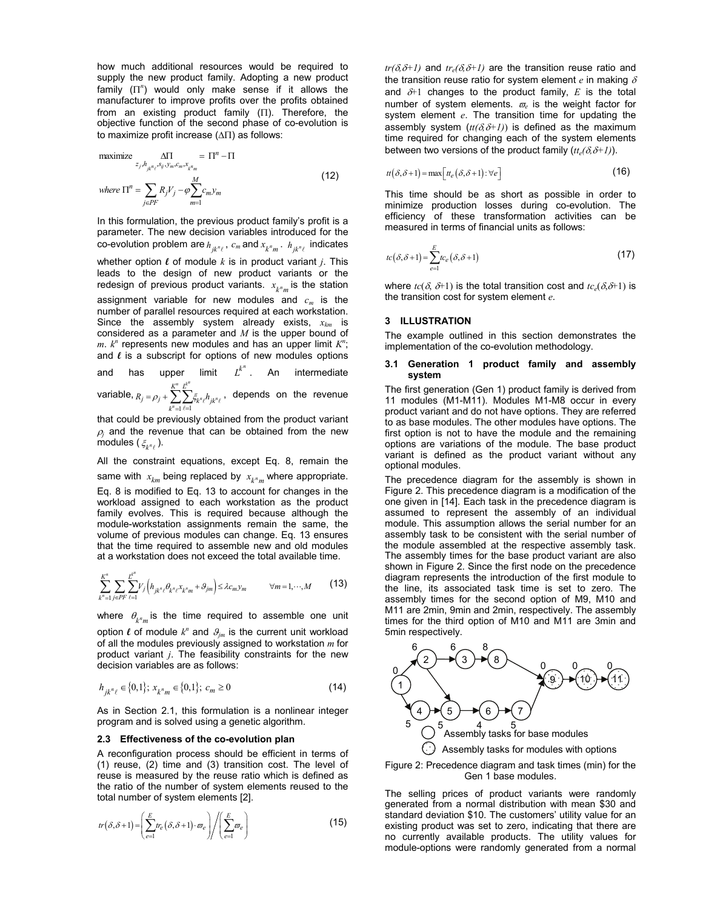how much additional resources would be required to supply the new product family. Adopting a new product family (Π*<sup>n</sup>* ) would only make sense if it allows the manufacturer to improve profits over the profits obtained from an existing product family (Π). Therefore, the objective function of the second phase of co-evolution is to maximize profit increase (ΔΠ) as follows:

$$
\begin{aligned}\n\text{maximize} & \quad \frac{\Delta \Pi}{z_j, h_{jk} n_{\ell}, s_{ij}, y_m, c_m, x_{k^n_m}} = \Pi^n - \Pi \\
\text{where } \Pi^n &= \sum_{j \in PF} R_j V_j - \varphi \sum_{m=1}^M c_m y_m\n\end{aligned} \tag{12}
$$

In this formulation, the previous product family's profit is a parameter. The new decision variables introduced for the co-evolution problem are  $h_{jk^n\ell}$ ,  $c_m$  and  $x_{k^nm}$ .  $h_{jk^n\ell}$  indicates whether option  $\ell$  of module  $k$  is in product variant  $j$ . This leads to the design of new product variants or the redesign of previous product variants.  $x_{k^m m}$  is the station assignment variable for new modules and  $c_m$  is the number of parallel resources required at each workstation. Since the assembly system already exists,  $x_{km}$  is considered as a parameter and *M* is the upper bound of  $m$ .  $k^n$  represents new modules and has an upper limit  $K^n$ ; and  $\ell$  is a subscript for options of new modules options and has upper limit  $L^{k^n}$ . An intermediate

variable,  $1 \ell = 1$  $n \frac{1}{k}$  $\sum_{n=1}^{\infty}\sum_{\ell=1}^{n}S_{k}{}^{n}\ell^{n}{}_{jk}{}^{n}$ *K L*  $j = \rho_j + \sum_{k''=1} \sum_{\ell=1} \varsigma_{k'' \ell} n_{jk}$  $R_i = \rho_i + \sum_{i} \sum_{i} \xi_{i} h_i$  $= \rho_j + \sum_{k^n=1} \sum_{\ell=1} \xi_{k^n\ell} h_{jk^n\ell}$ , depends on the revenue

that could be previously obtained from the product variant  $\rho_i$  and the revenue that can be obtained from the new modules  $(\xi_{\mu n_\ell})$ .

All the constraint equations, except Eq. 8, remain the same with  $x_{km}$  being replaced by  $x_{km}$  where appropriate. Eq. 8 is modified to Eq. 13 to account for changes in the workload assigned to each workstation as the product family evolves. This is required because although the module-workstation assignments remain the same, the volume of previous modules can change. Eq. 13 ensures that the time required to assemble new and old modules at a workstation does not exceed the total available time.

$$
\sum_{k^{n}=1}^{K^{n}} \sum_{j\in PF} \sum_{\ell=1}^{L^{k^{n}}} V_{j}\left(h_{jk^{n}\ell}\theta_{k^{n}\ell}X_{k^{n}m}+\theta_{jm}\right) \leq \lambda c_{m} y_{m} \qquad \forall m=1,\cdots,M \qquad (13)
$$

where  $\theta_{k^nm}$  is the time required to assemble one unit option  $\ell$  of module  $k^n$  and  $\mathcal{G}_{jm}$  is the current unit workload of all the modules previously assigned to workstation *m* for product variant *j*. The feasibility constraints for the new decision variables are as follows:

$$
h_{jk^n\ell} \in \{0,1\}; \ x_{k^nm} \in \{0,1\}; \ c_m \ge 0 \tag{14}
$$

As in Section 2.1, this formulation is a nonlinear integer program and is solved using a genetic algorithm.

### **2.3 Effectiveness of the co-evolution plan**

A reconfiguration process should be efficient in terms of (1) reuse, (2) time and (3) transition cost. The level of reuse is measured by the reuse ratio which is defined as the ratio of the number of system elements reused to the total number of system elements [2].

$$
tr(\delta, \delta + 1) = \left(\sum_{e=1}^{E} tr_e(\delta, \delta + 1) \cdot \varpi_e\right) / \left(\sum_{e=1}^{E} \varpi_e\right)
$$
 (15)

 $tr(\delta \delta + 1)$  and  $tr_e(\delta \delta + 1)$  are the transition reuse ratio and the transition reuse ratio for system element *e* in making δ and  $\delta+1$  changes to the product family,  $E$  is the total number of system elements.  $\varpi_e$  is the weight factor for system element *e*. The transition time for updating the assembly system  $(t t(\delta, \delta + 1))$  is defined as the maximum time required for changing each of the system elements between two versions of the product family  $(t t_e(\delta \delta + 1))$ .

$$
t(\delta, \delta + 1) = \max[t_e(\delta, \delta + 1)] \; \forall e
$$
\n(16)

This time should be as short as possible in order to minimize production losses during co-evolution. The efficiency of these transformation activities can be measured in terms of financial units as follows:

$$
tc(\delta, \delta + 1) = \sum_{e=1}^{E} tc_e(\delta, \delta + 1)
$$
\n(17)

where  $tc(\delta, \delta+1)$  is the total transition cost and  $tc_e(\delta, \delta+1)$  is the transition cost for system element *e.*

## **3 ILLUSTRATION**

The example outlined in this section demonstrates the implementation of the co-evolution methodology.

### **3.1 Generation 1 product family and assembly system**

The first generation (Gen 1) product family is derived from 11 modules (M1-M11). Modules M1-M8 occur in every product variant and do not have options. They are referred to as base modules. The other modules have options. The first option is not to have the module and the remaining options are variations of the module. The base product variant is defined as the product variant without any optional modules.

The precedence diagram for the assembly is shown in Figure 2. This precedence diagram is a modification of the one given in [14]. Each task in the precedence diagram is assumed to represent the assembly of an individual module. This assumption allows the serial number for an assembly task to be consistent with the serial number of the module assembled at the respective assembly task. The assembly times for the base product variant are also shown in Figure 2. Since the first node on the precedence diagram represents the introduction of the first module to the line, its associated task time is set to zero. The assembly times for the second option of M9, M10 and M11 are 2min, 9min and 2min, respectively. The assembly times for the third option of M10 and M11 are 3min and 5min respectively.



Figure 2: Precedence diagram and task times (min) for the Gen 1 base modules.

The selling prices of product variants were randomly generated from a normal distribution with mean \$30 and standard deviation \$10. The customers' utility value for an existing product was set to zero, indicating that there are no currently available products. The utility values for module-options were randomly generated from a normal